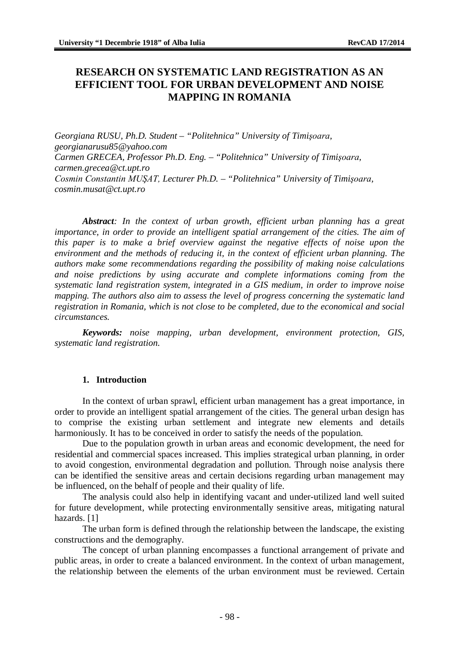# **RESEARCH ON SYSTEMATIC LAND REGISTRATION AS AN EFFICIENT TOOL FOR URBAN DEVELOPMENT AND NOISE MAPPING IN ROMANIA**

*Georgiana RUSU, Ph.D. Student – "Politehnica" University of Timişoara, [georgianarusu85@yahoo.com](mailto:georgianarusu85@yahoo.com) Carmen GRECEA, Professor Ph.D. Eng. – "Politehnica" University of Timişoara, [carmen.grecea@ct.upt.ro](mailto:carmen.grecea@ct.upt.ro) Cosmin Constantin MUŞAT, Lecturer Ph.D. – "Politehnica" University of Timişoara, [cosmin.musat@ct.upt.ro](mailto:cosmin.musat@ct.upt.ro)*

*Abstract: In the context of urban growth, efficient urban planning has a great importance, in order to provide an intelligent spatial arrangement of the cities. The aim of this paper is to make a brief overview against the negative effects of noise upon the environment and the methods of reducing it, in the context of efficient urban planning. The authors make some recommendations regarding the possibility of making noise calculations and noise predictions by using accurate and complete informations coming from the systematic land registration system, integrated in a GIS medium, in order to improve noise mapping. The authors also aim to assess the level of progress concerning the systematic land registration in Romania, which is not close to be completed, due to the economical and social circumstances.*

*Keywords: noise mapping, urban development, environment protection, GIS, systematic land registration.*

#### **1. Introduction**

In the context of urban sprawl, efficient urban management has a great importance, in order to provide an intelligent spatial arrangement of the cities. The general urban design has to comprise the existing urban settlement and integrate new elements and details harmoniously. It has to be conceived in order to satisfy the needs of the population.

Due to the population growth in urban areas and economic development, the need for residential and commercial spaces increased. This implies strategical urban planning, in order to avoid congestion, environmental degradation and pollution. Through noise analysis there can be identified the sensitive areas and certain decisions regarding urban management may be influenced, on the behalf of people and their quality of life.

The analysis could also help in identifying vacant and under-utilized land well suited for future development, while protecting environmentally sensitive areas, mitigating natural hazards. [1]

The urban form is defined through the relationship between the landscape, the existing constructions and the demography.

The concept of urban planning encompasses a functional arrangement of private and public areas, in order to create a balanced environment. In the context of urban management, the relationship between the elements of the urban environment must be reviewed. Certain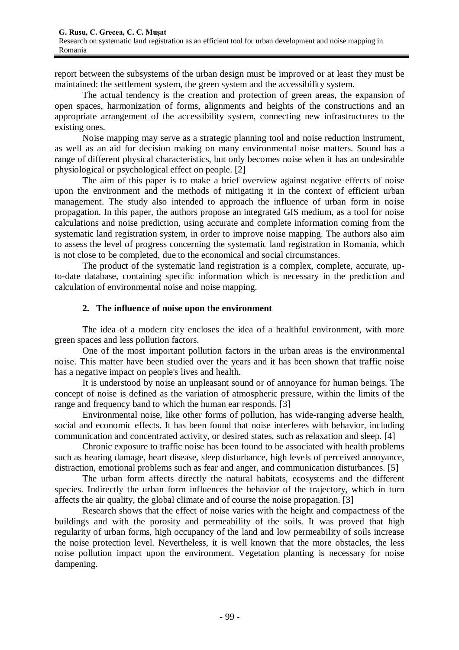report between the subsystems of the urban design must be improved or at least they must be maintained: the settlement system, the green system and the accessibility system.

The actual tendency is the creation and protection of green areas, the expansion of open spaces, harmonization of forms, alignments and heights of the constructions and an appropriate arrangement of the accessibility system, connecting new infrastructures to the existing ones.

Noise mapping may serve as a strategic planning tool and noise reduction instrument, as well as an aid for decision making on many environmental noise matters. Sound has a range of different physical characteristics, but only becomes noise when it has an undesirable physiological or psychological effect on people. [2]

The aim of this paper is to make a brief overview against negative effects of noise upon the environment and the methods of mitigating it in the context of efficient urban management. The study also intended to approach the influence of urban form in noise propagation. In this paper, the authors propose an integrated GIS medium, as a tool for noise calculations and noise prediction, using accurate and complete information coming from the systematic land registration system, in order to improve noise mapping. The authors also aim to assess the level of progress concerning the systematic land registration in Romania, which is not close to be completed, due to the economical and social circumstances.

The product of the systematic land registration is a complex, complete, accurate, upto-date database, containing specific information which is necessary in the prediction and calculation of environmental noise and noise mapping.

#### **2. The influence of noise upon the environment**

The idea of a modern city encloses the idea of a healthful environment, with more green spaces and less pollution factors.

One of the most important pollution factors in the urban areas is the environmental noise. This matter have been studied over the years and it has been shown that traffic noise has a negative impact on people's lives and health.

It is understood by noise an unpleasant sound or of annoyance for human beings. The concept of noise is defined as the variation of atmospheric pressure, within the limits of the range and frequency band to which the human ear responds. [3]

Environmental noise, like other forms of pollution, has wide-ranging adverse health, social and economic effects. It has been found that noise interferes with behavior, including communication and concentrated activity, or desired states, such as relaxation and sleep. [4]

Chronic exposure to traffic noise has been found to be associated with health problems such as hearing damage, heart disease, sleep disturbance, high levels of perceived annoyance, distraction, emotional problems such as fear and anger, and communication disturbances. [5]

The urban form affects directly the natural habitats, ecosystems and the different species. Indirectly the urban form influences the behavior of the trajectory, which in turn affects the air quality, the global climate and of course the noise propagation. [3]

Research shows that the effect of noise varies with the height and compactness of the buildings and with the porosity and permeability of the soils. It was proved that high regularity of urban forms, high occupancy of the land and low permeability of soils increase the noise protection level. Nevertheless, it is well known that the more obstacles, the less noise pollution impact upon the environment. Vegetation planting is necessary for noise dampening.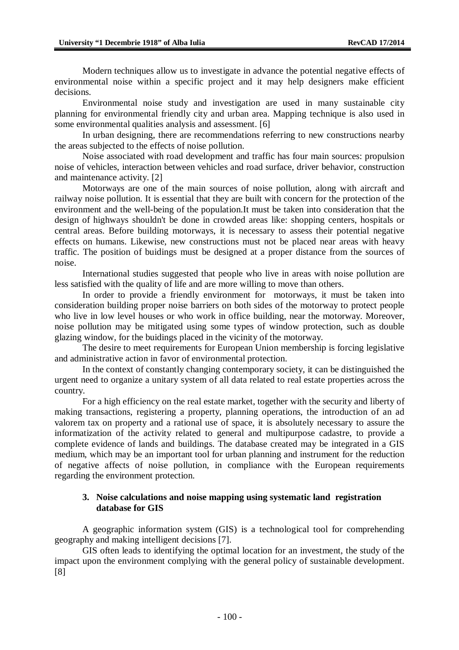Modern techniques allow us to investigate in advance the potential negative effects of environmental noise within a specific project and it may help designers make efficient decisions.

Environmental noise study and investigation are used in many sustainable city planning for environmental friendly city and urban area. Mapping technique is also used in some environmental qualities analysis and assessment. [6]

In urban designing, there are recommendations referring to new constructions nearby the areas subjected to the effects of noise pollution.

Noise associated with road development and traffic has four main sources: propulsion noise of vehicles, interaction between vehicles and road surface, driver behavior, construction and maintenance activity. [2]

Motorways are one of the main sources of noise pollution, along with aircraft and railway noise pollution. It is essential that they are built with concern for the protection of the environment and the well-being of the population.It must be taken into consideration that the design of highways shouldn't be done in crowded areas like: shopping centers, hospitals or central areas. Before building motorways, it is necessary to assess their potential negative effects on humans. Likewise, new constructions must not be placed near areas with heavy traffic. The position of buidings must be designed at a proper distance from the sources of noise.

International studies suggested that people who live in areas with noise pollution are less satisfied with the quality of life and are more willing to move than others.

In order to provide a friendly environment for motorways, it must be taken into consideration building proper noise barriers on both sides of the motorway to protect people who live in low level houses or who work in office building, near the motorway. Moreover, noise pollution may be mitigated using some types of window protection, such as double glazing window, for the buidings placed in the vicinity of the motorway.

The desire to meet requirements for European Union membership is forcing legislative and administrative action in favor of environmental protection.

In the context of constantly changing contemporary society, it can be distinguished the urgent need to organize a unitary system of all data related to real estate properties across the country.

For a high efficiency on the real estate market, together with the security and liberty of making transactions, registering a property, planning operations, the introduction of an ad valorem tax on property and a rational use of space, it is absolutely necessary to assure the informatization of the activity related to general and multipurpose cadastre, to provide a complete evidence of lands and buildings. The database created may be integrated in a GIS medium, which may be an important tool for urban planning and instrument for the reduction of negative affects of noise pollution, in compliance with the European requirements regarding the environment protection.

## **3. Noise calculations and noise mapping using systematic land registration database for GIS**

A geographic information system (GIS) is a technological tool for comprehending geography and making intelligent decisions [7].

GIS often leads to identifying the optimal location for an investment, the study of the impact upon the environment complying with the general policy of sustainable development. [8]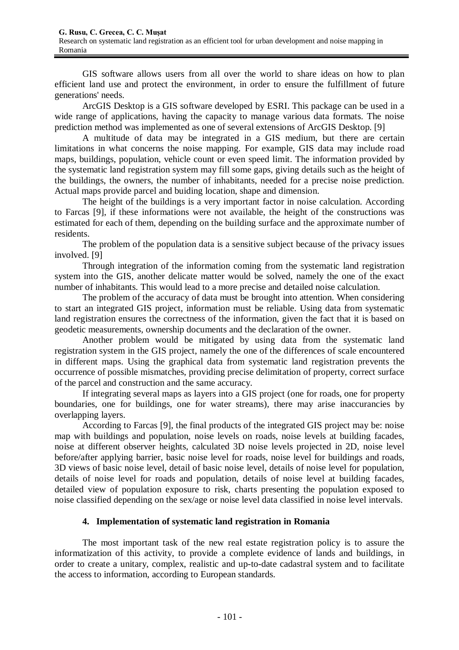GIS software allows users from all over the world to share ideas on how to plan efficient land use and protect the environment, in order to ensure the fulfillment of future generations' needs.

ArcGIS Desktop is a GIS software developed by ESRI. This package can be used in a wide range of applications, having the capacity to manage various data formats. The noise prediction method was implemented as one of several extensions of ArcGIS Desktop. [9]

A multitude of data may be integrated in a GIS medium, but there are certain limitations in what concerns the noise mapping. For example, GIS data may include road maps, buildings, population, vehicle count or even speed limit. The information provided by the systematic land registration system may fill some gaps, giving details such as the height of the buildings, the owners, the number of inhabitants, needed for a precise noise prediction. Actual maps provide parcel and buiding location, shape and dimension.

The height of the buildings is a very important factor in noise calculation. According to Farcas [9], if these informations were not available, the height of the constructions was estimated for each of them, depending on the building surface and the approximate number of residents.

The problem of the population data is a sensitive subject because of the privacy issues involved. [9]

Through integration of the information coming from the systematic land registration system into the GIS, another delicate matter would be solved, namely the one of the exact number of inhabitants. This would lead to a more precise and detailed noise calculation.

The problem of the accuracy of data must be brought into attention. When considering to start an integrated GIS project, information must be reliable. Using data from systematic land registration ensures the correctness of the information, given the fact that it is based on geodetic measurements, ownership documents and the declaration of the owner.

Another problem would be mitigated by using data from the systematic land registration system in the GIS project, namely the one of the differences of scale encountered in different maps. Using the graphical data from systematic land registration prevents the occurrence of possible mismatches, providing precise delimitation of property, correct surface of the parcel and construction and the same accuracy.

If integrating several maps as layers into a GIS project (one for roads, one for property boundaries, one for buildings, one for water streams), there may arise inaccurancies by overlapping layers.

According to Farcas [9], the final products of the integrated GIS project may be: noise map with buildings and population, noise levels on roads, noise levels at building facades, noise at different observer heights, calculated 3D noise levels projected in 2D, noise level before/after applying barrier, basic noise level for roads, noise level for buildings and roads, 3D views of basic noise level, detail of basic noise level, details of noise level for population, details of noise level for roads and population, details of noise level at building facades, detailed view of population exposure to risk, charts presenting the population exposed to noise classified depending on the sex/age or noise level data classified in noise level intervals.

# **4. Implementation of systematic land registration in Romania**

The most important task of the new real estate registration policy is to assure the informatization of this activity, to provide a complete evidence of lands and buildings, in order to create a unitary, complex, realistic and up-to-date cadastral system and to facilitate the access to information, according to European standards.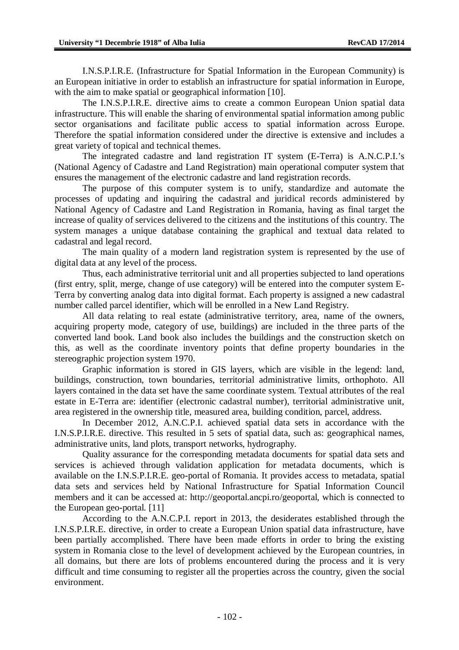I.N.S.P.I.R.E. (Infrastructure for Spatial Information in the European Community) is an European initiative in order to establish an infrastructure for spatial information in Europe, with the aim to make spatial or geographical information [10].

The I.N.S.P.I.R.E. directive aims to create a common European Union spatial data infrastructure. This will enable the sharing of environmental spatial information among public sector organisations and facilitate public access to spatial information across Europe. Therefore the spatial information considered under the directive is extensive and includes a great variety of topical and technical themes.

The integrated cadastre and land registration IT system (E-Terra) is A.N.C.P.I.'s (National Agency of Cadastre and Land Registration) main operational computer system that ensures the management of the electronic cadastre and land registration records.

The purpose of this computer system is to unify, standardize and automate the processes of updating and inquiring the cadastral and juridical records administered by National Agency of Cadastre and Land Registration in Romania, having as final target the increase of quality of services delivered to the citizens and the institutions of this country. The system manages a unique database containing the graphical and textual data related to cadastral and legal record.

The main quality of a modern land registration system is represented by the use of digital data at any level of the process.

Thus, each administrative territorial unit and all properties subjected to land operations (first entry, split, merge, change of use category) will be entered into the computer system E-Terra by converting analog data into digital format. Each property is assigned a new cadastral number called parcel identifier, which will be enrolled in a New Land Registry.

All data relating to real estate (administrative territory, area, name of the owners, acquiring property mode, category of use, buildings) are included in the three parts of the converted land book. Land book also includes the buildings and the construction sketch on this, as well as the coordinate inventory points that define property boundaries in the stereographic projection system 1970.

Graphic information is stored in GIS layers, which are visible in the legend: land, buildings, construction, town boundaries, territorial administrative limits, orthophoto. All layers contained in the data set have the same coordinate system. Textual attributes of the real estate in E-Terra are: identifier (electronic cadastral number), territorial administrative unit, area registered in the ownership title, measured area, building condition, parcel, address.

In December 2012, A.N.C.P.I. achieved spatial data sets in accordance with the I.N.S.P.I.R.E. directive. This resulted in 5 sets of spatial data, such as: geographical names, administrative units, land plots, transport networks, hydrography.

Quality assurance for the corresponding metadata documents for spatial data sets and services is achieved through validation application for metadata documents, which is available on the I.N.S.P.I.R.E. geo-portal of Romania. It provides access to metadata, spatial data sets and services held by National Infrastructure for Spatial Information Council members and it can be accessed at: <http://geoportal.ancpi.ro/geoportal,> which is connected to the European geo-portal. [11]

According to the A.N.C.P.I. report in 2013, the desiderates established through the I.N.S.P.I.R.E. directive, in order to create a European Union spatial data infrastructure, have been partially accomplished. There have been made efforts in order to bring the existing system in Romania close to the level of development achieved by the European countries, in all domains, but there are lots of problems encountered during the process and it is very difficult and time consuming to register all the properties across the country, given the social environment.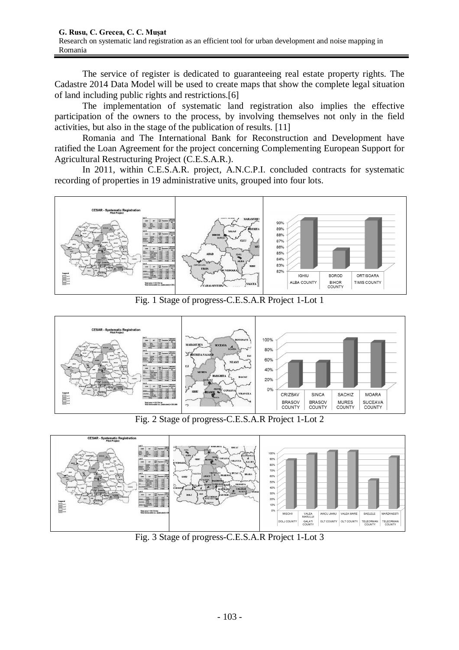The service of register is dedicated to guaranteeing real estate property rights. The Cadastre 2014 Data Model will be used to create maps that show the complete legal situation of land including public rights and restrictions.[6]

The implementation of systematic land registration also implies the effective participation of the owners to the process, by involving themselves not only in the field activities, but also in the stage of the publication of results. [11]

Romania and The International Bank for Reconstruction and Development have ratified the Loan Agreement for the project concerning Complementing European Support for Agricultural Restructuring Project (C.E.S.A.R.).

In 2011, within C.E.S.A.R. project, A.N.C.P.I. concluded contracts for systematic recording of properties in 19 administrative units, grouped into four lots.



Fig. 1 Stage of progress-C.E.S.A.R Project 1-Lot 1



Fig. 2 Stage of progress-C.E.S.A.R Project 1-Lot 2



Fig. 3 Stage of progress-C.E.S.A.R Project 1-Lot 3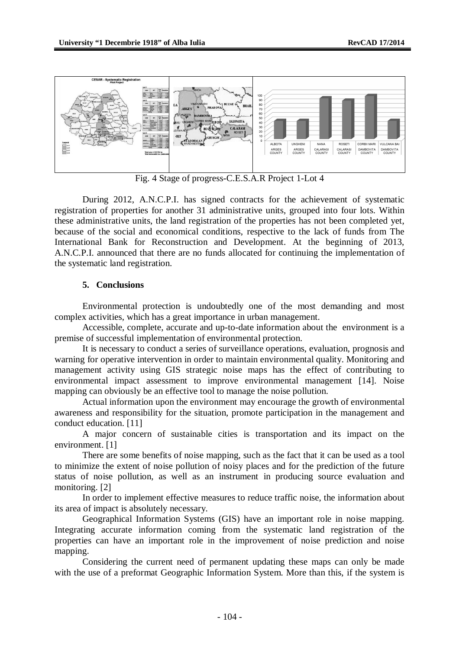

Fig. 4 Stage of progress-C.E.S.A.R Project 1-Lot 4

During 2012, A.N.C.P.I. has signed contracts for the achievement of systematic registration of properties for another 31 administrative units, grouped into four lots. Within these administrative units, the land registration of the properties has not been completed yet, because of the social and economical conditions, respective to the lack of funds from The International Bank for Reconstruction and Development. At the beginning of 2013, A.N.C.P.I. announced that there are no funds allocated for continuing the implementation of the systematic land registration.

# **5. Conclusions**

Environmental protection is undoubtedly one of the most demanding and most complex activities, which has a great importance in urban management.

Accessible, complete, accurate and up-to-date information about the environment is a premise of successful implementation of environmental protection.

It is necessary to conduct a series of surveillance operations, evaluation, prognosis and warning for operative intervention in order to maintain environmental quality. Monitoring and management activity using GIS strategic noise maps has the effect of contributing to environmental impact assessment to improve environmental management [14]. Noise mapping can obviously be an effective tool to manage the noise pollution.

Actual information upon the environment may encourage the growth of environmental awareness and responsibility for the situation, promote participation in the management and conduct education. [11]

A major concern of sustainable cities is transportation and its impact on the environment. [1]

There are some benefits of noise mapping, such as the fact that it can be used as a tool to minimize the extent of noise pollution of noisy places and for the prediction of the future status of noise pollution, as well as an instrument in producing source evaluation and monitoring. [2]

In order to implement effective measures to reduce traffic noise, the information about its area of impact is absolutely necessary.

Geographical Information Systems (GIS) have an important role in noise mapping. Integrating accurate information coming from the systematic land registration of the properties can have an important role in the improvement of noise prediction and noise mapping.

Considering the current need of permanent updating these maps can only be made with the use of a preformat Geographic Information System. More than this, if the system is